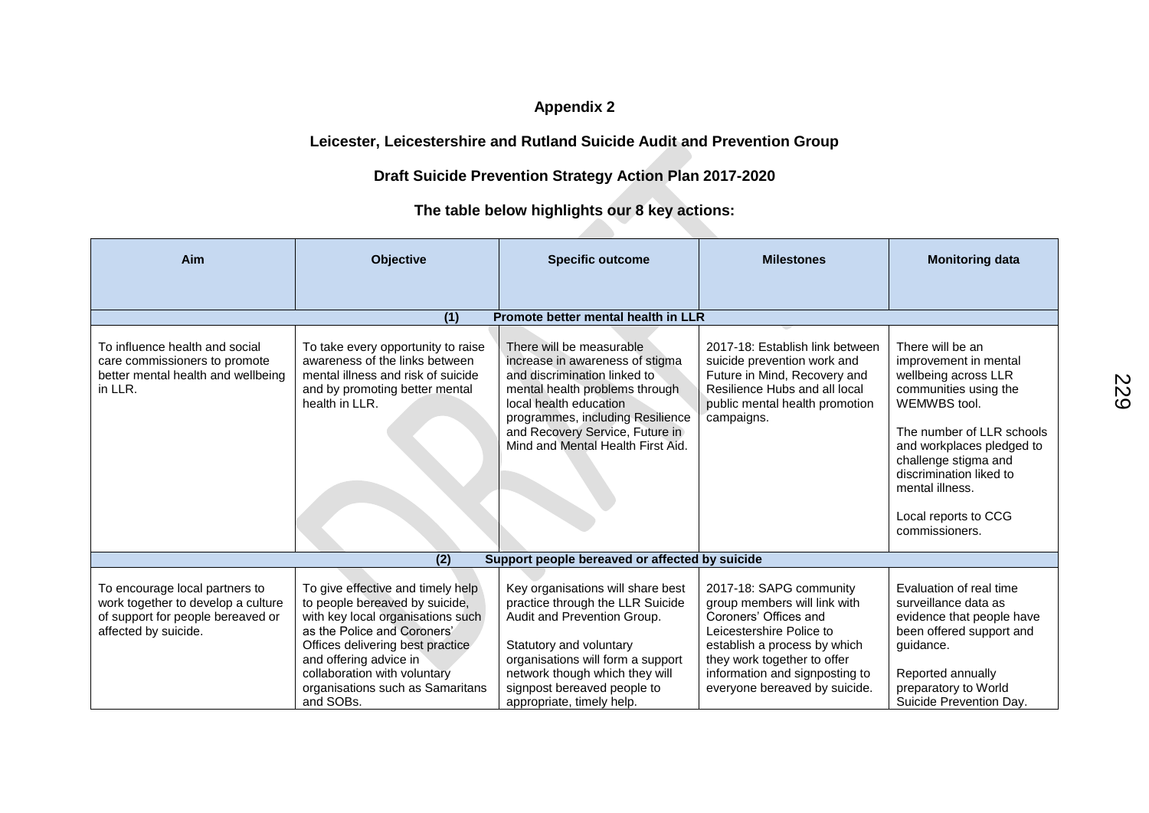## **Appendix 2**

## **Leicester, Leicestershire and Rutland Suicide Audit and Prevention Group**

## **Draft Suicide Prevention Strategy Action Plan 2017-2020**

## **The table below highlights our 8 key actions:**

| Aim                                                                                                                               | <b>Objective</b>                                                                                                                                                                                                                                                                       | <b>Specific outcome</b>                                                                                                                                                                                                                                             | <b>Milestones</b>                                                                                                                                                                                                                              | <b>Monitoring data</b>                                                                                                                                                                                                                                                               |  |
|-----------------------------------------------------------------------------------------------------------------------------------|----------------------------------------------------------------------------------------------------------------------------------------------------------------------------------------------------------------------------------------------------------------------------------------|---------------------------------------------------------------------------------------------------------------------------------------------------------------------------------------------------------------------------------------------------------------------|------------------------------------------------------------------------------------------------------------------------------------------------------------------------------------------------------------------------------------------------|--------------------------------------------------------------------------------------------------------------------------------------------------------------------------------------------------------------------------------------------------------------------------------------|--|
|                                                                                                                                   |                                                                                                                                                                                                                                                                                        |                                                                                                                                                                                                                                                                     |                                                                                                                                                                                                                                                |                                                                                                                                                                                                                                                                                      |  |
| Promote better mental health in LLR<br>(1)                                                                                        |                                                                                                                                                                                                                                                                                        |                                                                                                                                                                                                                                                                     |                                                                                                                                                                                                                                                |                                                                                                                                                                                                                                                                                      |  |
| To influence health and social<br>care commissioners to promote<br>better mental health and wellbeing<br>in LLR.                  | To take every opportunity to raise<br>awareness of the links between<br>mental illness and risk of suicide<br>and by promoting better mental<br>health in LLR.                                                                                                                         | There will be measurable<br>increase in awareness of stigma<br>and discrimination linked to<br>mental health problems through<br>local health education<br>programmes, including Resilience<br>and Recovery Service, Future in<br>Mind and Mental Health First Aid. | 2017-18: Establish link between<br>suicide prevention work and<br>Future in Mind, Recovery and<br>Resilience Hubs and all local<br>public mental health promotion<br>campaigns.                                                                | There will be an<br>improvement in mental<br>wellbeing across LLR<br>communities using the<br>WEMWBS tool.<br>The number of LLR schools<br>and workplaces pledged to<br>challenge stigma and<br>discrimination liked to<br>mental illness.<br>Local reports to CCG<br>commissioners. |  |
|                                                                                                                                   | (2)                                                                                                                                                                                                                                                                                    | Support people bereaved or affected by suicide                                                                                                                                                                                                                      |                                                                                                                                                                                                                                                |                                                                                                                                                                                                                                                                                      |  |
| To encourage local partners to<br>work together to develop a culture<br>of support for people bereaved or<br>affected by suicide. | To give effective and timely help<br>to people bereaved by suicide,<br>with key local organisations such<br>as the Police and Coroners'<br>Offices delivering best practice<br>and offering advice in<br>collaboration with voluntary<br>organisations such as Samaritans<br>and SOBs. | Key organisations will share best<br>practice through the LLR Suicide<br>Audit and Prevention Group.<br>Statutory and voluntary<br>organisations will form a support<br>network though which they will<br>signpost bereaved people to<br>appropriate, timely help.  | 2017-18: SAPG community<br>group members will link with<br>Coroners' Offices and<br>Leicestershire Police to<br>establish a process by which<br>they work together to offer<br>information and signposting to<br>everyone bereaved by suicide. | Evaluation of real time<br>surveillance data as<br>evidence that people have<br>been offered support and<br>guidance.<br>Reported annually<br>preparatory to World<br>Suicide Prevention Day.                                                                                        |  |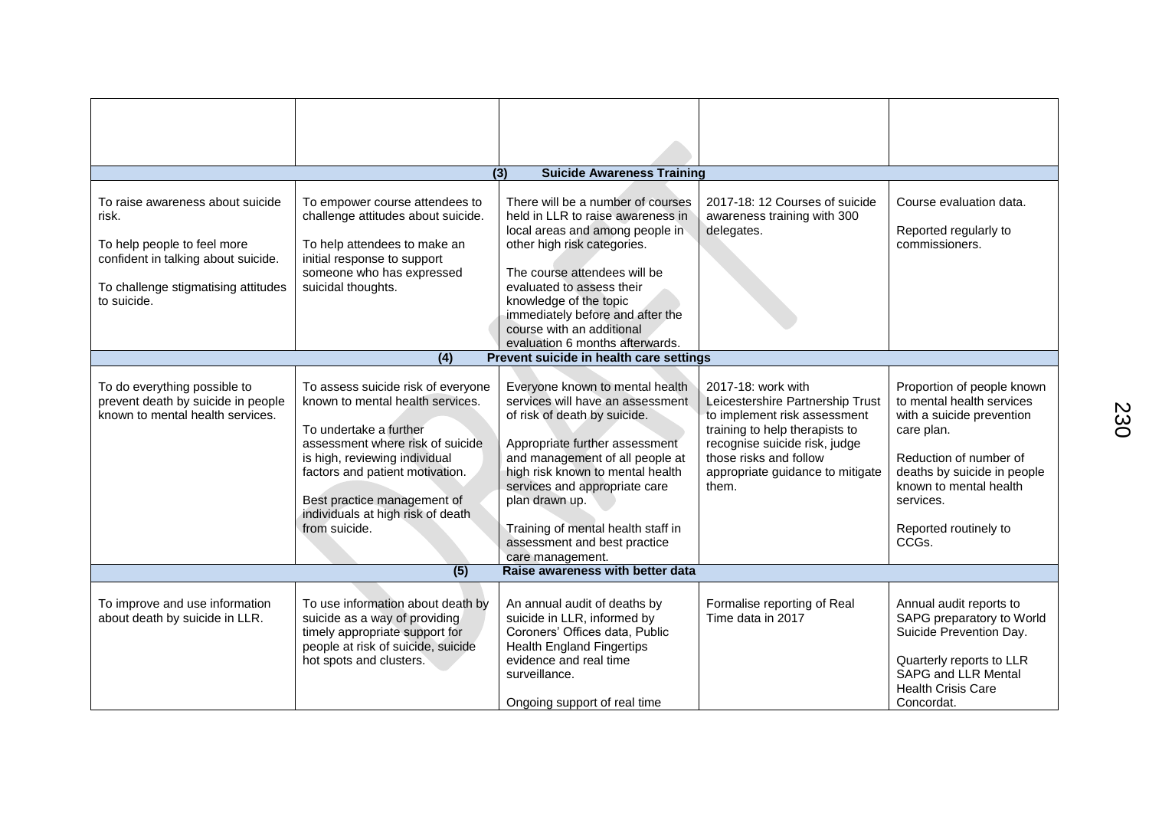|                                                                                                                                                                       |                                                                                                                                                                                                                                                                                               | <b>Suicide Awareness Training</b><br>(3)                                                                                                                                                                                                                                                                                                                  |                                                                                                                                                                                                                                  |                                                                                                                                                                                                                                      |
|-----------------------------------------------------------------------------------------------------------------------------------------------------------------------|-----------------------------------------------------------------------------------------------------------------------------------------------------------------------------------------------------------------------------------------------------------------------------------------------|-----------------------------------------------------------------------------------------------------------------------------------------------------------------------------------------------------------------------------------------------------------------------------------------------------------------------------------------------------------|----------------------------------------------------------------------------------------------------------------------------------------------------------------------------------------------------------------------------------|--------------------------------------------------------------------------------------------------------------------------------------------------------------------------------------------------------------------------------------|
| To raise awareness about suicide<br>risk.<br>To help people to feel more<br>confident in talking about suicide.<br>To challenge stigmatising attitudes<br>to suicide. | To empower course attendees to<br>challenge attitudes about suicide.<br>To help attendees to make an<br>initial response to support<br>someone who has expressed<br>suicidal thoughts.                                                                                                        | There will be a number of courses<br>held in LLR to raise awareness in<br>local areas and among people in<br>other high risk categories.<br>The course attendees will be<br>evaluated to assess their<br>knowledge of the topic<br>immediately before and after the<br>course with an additional                                                          | 2017-18: 12 Courses of suicide<br>awareness training with 300<br>delegates.                                                                                                                                                      | Course evaluation data.<br>Reported regularly to<br>commissioners.                                                                                                                                                                   |
|                                                                                                                                                                       |                                                                                                                                                                                                                                                                                               | evaluation 6 months afterwards.                                                                                                                                                                                                                                                                                                                           |                                                                                                                                                                                                                                  |                                                                                                                                                                                                                                      |
|                                                                                                                                                                       | (4)                                                                                                                                                                                                                                                                                           | Prevent suicide in health care settings                                                                                                                                                                                                                                                                                                                   |                                                                                                                                                                                                                                  |                                                                                                                                                                                                                                      |
| To do everything possible to<br>prevent death by suicide in people<br>known to mental health services.                                                                | To assess suicide risk of everyone<br>known to mental health services.<br>To undertake a further<br>assessment where risk of suicide<br>is high, reviewing individual<br>factors and patient motivation.<br>Best practice management of<br>individuals at high risk of death<br>from suicide. | Everyone known to mental health<br>services will have an assessment<br>of risk of death by suicide.<br>Appropriate further assessment<br>and management of all people at<br>high risk known to mental health<br>services and appropriate care<br>plan drawn up.<br>Training of mental health staff in<br>assessment and best practice<br>care management. | 2017-18: work with<br>Leicestershire Partnership Trust<br>to implement risk assessment<br>training to help therapists to<br>recognise suicide risk, judge<br>those risks and follow<br>appropriate guidance to mitigate<br>them. | Proportion of people known<br>to mental health services<br>with a suicide prevention<br>care plan.<br>Reduction of number of<br>deaths by suicide in people<br>known to mental health<br>services.<br>Reported routinely to<br>CCGs. |
|                                                                                                                                                                       | (5)                                                                                                                                                                                                                                                                                           | Raise awareness with better data                                                                                                                                                                                                                                                                                                                          |                                                                                                                                                                                                                                  |                                                                                                                                                                                                                                      |
| To improve and use information<br>about death by suicide in LLR.                                                                                                      | To use information about death by<br>suicide as a way of providing<br>timely appropriate support for<br>people at risk of suicide, suicide<br>hot spots and clusters.                                                                                                                         | An annual audit of deaths by<br>suicide in LLR, informed by<br>Coroners' Offices data, Public<br><b>Health England Fingertips</b><br>evidence and real time<br>surveillance.<br>Ongoing support of real time                                                                                                                                              | Formalise reporting of Real<br>Time data in 2017                                                                                                                                                                                 | Annual audit reports to<br>SAPG preparatory to World<br>Suicide Prevention Day.<br>Quarterly reports to LLR<br>SAPG and LLR Mental<br><b>Health Crisis Care</b><br>Concordat.                                                        |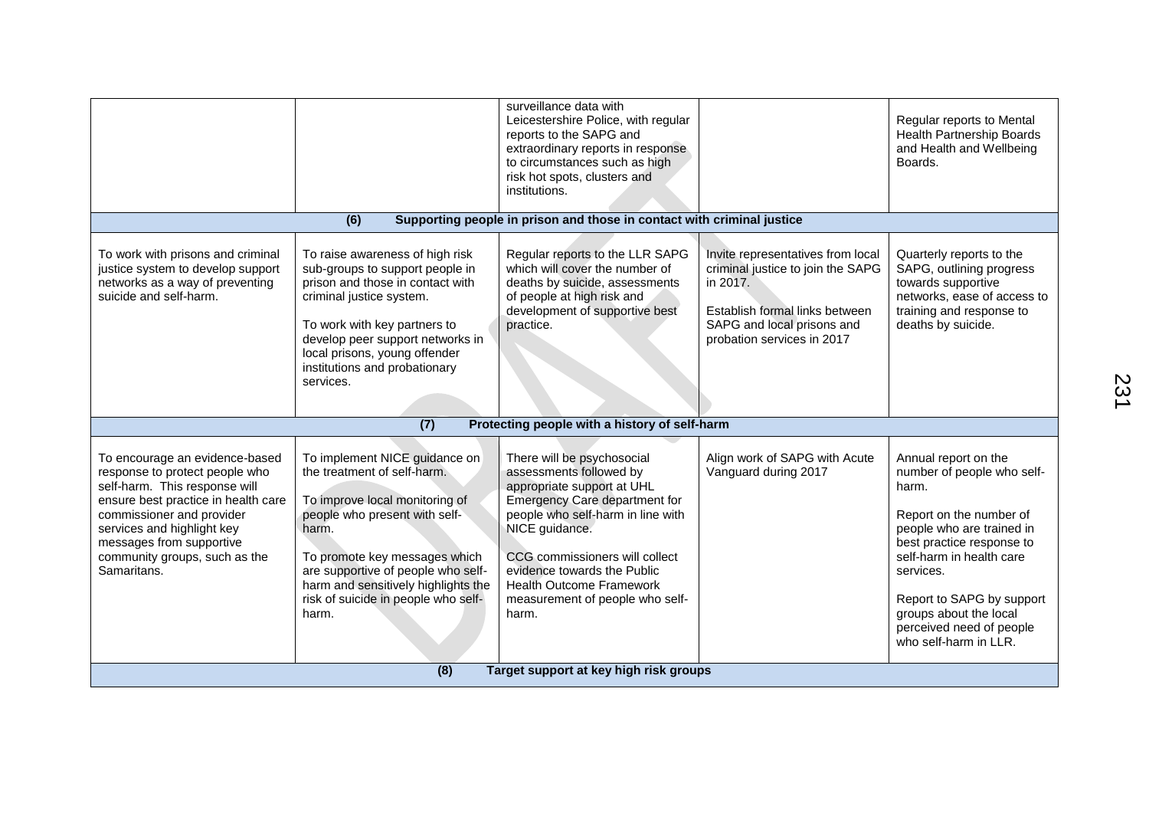|                                                                                                                                                                                                                                                                                 |                                                                                                                                                                                                                                                                                                        | surveillance data with<br>Leicestershire Police, with regular<br>reports to the SAPG and<br>extraordinary reports in response<br>to circumstances such as high<br>risk hot spots, clusters and<br>institutions.                                                                                                                    |                                                                                                                                                                                  | Regular reports to Mental<br><b>Health Partnership Boards</b><br>and Health and Wellbeing<br>Boards.                                                                                                                                                                                                  |
|---------------------------------------------------------------------------------------------------------------------------------------------------------------------------------------------------------------------------------------------------------------------------------|--------------------------------------------------------------------------------------------------------------------------------------------------------------------------------------------------------------------------------------------------------------------------------------------------------|------------------------------------------------------------------------------------------------------------------------------------------------------------------------------------------------------------------------------------------------------------------------------------------------------------------------------------|----------------------------------------------------------------------------------------------------------------------------------------------------------------------------------|-------------------------------------------------------------------------------------------------------------------------------------------------------------------------------------------------------------------------------------------------------------------------------------------------------|
|                                                                                                                                                                                                                                                                                 | (6)                                                                                                                                                                                                                                                                                                    | Supporting people in prison and those in contact with criminal justice                                                                                                                                                                                                                                                             |                                                                                                                                                                                  |                                                                                                                                                                                                                                                                                                       |
| To work with prisons and criminal<br>justice system to develop support<br>networks as a way of preventing<br>suicide and self-harm.                                                                                                                                             | To raise awareness of high risk<br>sub-groups to support people in<br>prison and those in contact with<br>criminal justice system.<br>To work with key partners to<br>develop peer support networks in<br>local prisons, young offender<br>institutions and probationary<br>services.                  | Regular reports to the LLR SAPG<br>which will cover the number of<br>deaths by suicide, assessments<br>of people at high risk and<br>development of supportive best<br>practice.                                                                                                                                                   | Invite representatives from local<br>criminal justice to join the SAPG<br>in 2017.<br>Establish formal links between<br>SAPG and local prisons and<br>probation services in 2017 | Quarterly reports to the<br>SAPG, outlining progress<br>towards supportive<br>networks, ease of access to<br>training and response to<br>deaths by suicide.                                                                                                                                           |
|                                                                                                                                                                                                                                                                                 | (7)                                                                                                                                                                                                                                                                                                    | Protecting people with a history of self-harm                                                                                                                                                                                                                                                                                      |                                                                                                                                                                                  |                                                                                                                                                                                                                                                                                                       |
| To encourage an evidence-based<br>response to protect people who<br>self-harm. This response will<br>ensure best practice in health care<br>commissioner and provider<br>services and highlight key<br>messages from supportive<br>community groups, such as the<br>Samaritans. | To implement NICE guidance on<br>the treatment of self-harm.<br>To improve local monitoring of<br>people who present with self-<br>harm.<br>To promote key messages which<br>are supportive of people who self-<br>harm and sensitively highlights the<br>risk of suicide in people who self-<br>harm. | There will be psychosocial<br>assessments followed by<br>appropriate support at UHL<br><b>Emergency Care department for</b><br>people who self-harm in line with<br>NICE guidance.<br>CCG commissioners will collect<br>evidence towards the Public<br><b>Health Outcome Framework</b><br>measurement of people who self-<br>harm. | Align work of SAPG with Acute<br>Vanguard during 2017                                                                                                                            | Annual report on the<br>number of people who self-<br>harm.<br>Report on the number of<br>people who are trained in<br>best practice response to<br>self-harm in health care<br>services.<br>Report to SAPG by support<br>groups about the local<br>perceived need of people<br>who self-harm in LLR. |
| Target support at key high risk groups<br>(8)                                                                                                                                                                                                                                   |                                                                                                                                                                                                                                                                                                        |                                                                                                                                                                                                                                                                                                                                    |                                                                                                                                                                                  |                                                                                                                                                                                                                                                                                                       |